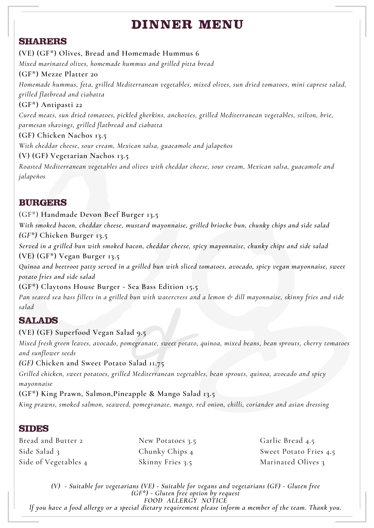# **DI N N E R ME N U**

#### **SHARERS**

**(VE) (GF\*) Olives, Bread and Homemade Hummus 6** *Mixed marinated olives, homemade hummus and grilled pitta bread* **(GF\*) Mezze Platter 20** *Homemade hummus, feta, grilled Mediterranean vegetables, mixed olives, sun dried tomatoes, mini caprese salad, grilled flatbread and ciabatta* **(GF\*) Antipasti 22** *Cured meats, sun dried tomatoes, pickled gherkins, anchovies, grilled Mediterranean vegetables, stilton, brie, parmesan shavings, grilled flatbread and ciabatta* **(GF) Chicken Nachos 13.5** *With cheddar cheese, sour cream, Mexican salsa, guacamole and jalapeños* **(V) (GF) Vegetarian Nachos 13.5** *Roasted Mediterranean vegetables and olives with cheddar cheese, sour cream, Mexican salsa, guacamole and jalapeños*

## **BURGERS**

(GF\*) **Handmade Devon Beef Burger 13.5**

*With smoked bacon, cheddar cheese, mustard mayonnaise, grilled brioche bun, chunky chips and side salad (GF\*)* **Chicken Burger 13.5**

*Served in a grilled bun with smoked bacon, cheddar cheese, spicy mayonnaise, chunky chips and side salad* **(VE) (GF\*) Vegan Burger 13.5**

Quinoa and beetroot patty served in a grilled bun with sliced tomatoes, avocado, spicy vegan mayonnaise, sweet *potato fries and side salad*

**(GF\*) Claytons House Burger - Sea Bass Edition 15.5** Pan seared sea bass fillets in a grilled bun with watercress and a lemon & dill mayonnaise, skinny fries and side *salad*

# **SALADS**

#### **(VE) (GF) Superfood Vegan Salad 9.5**

*Mixed fresh green leaves, avocado, pomegranate, sweet potato, quinoa, mixed beans, bean sprouts, cherry tomatoes and sunflower seeds*

*(GF)* **Chicken and Sweet Potato Salad 11.75**

*Grilled chicken, sweet potatoes, grilled Mediterranean vegetables, bean sprouts, quinoa, avocado and spicy mayonnaise*

**(GF\*) King Prawn, Salmon,Pineapple & Mango Salad 13.5** *King prawns, smoked salmon, seaweed, pomegranate, mango, red onion, chilli, coriander and asian dressing*

#### **SIDES**

Bread and Butter 2 Side Salad 3 Side of Vegetables 4 New Potatoes 3.5 Chunky Chips 4 Skinny Fries 3.5

Garlic Bread 4.5 Sweet Potato Fries 4.5 Marinated Olives 3

*(V) - Suitable for vegetarians (VE) - Suitable for vegans and vegetarians (GF) - Gluten free (GF\*) - Gluten free option by request FOOD ALLERGY NOTICE* If you have a food allergy or a special dietary requirement please inform a member of the team. Thank you.